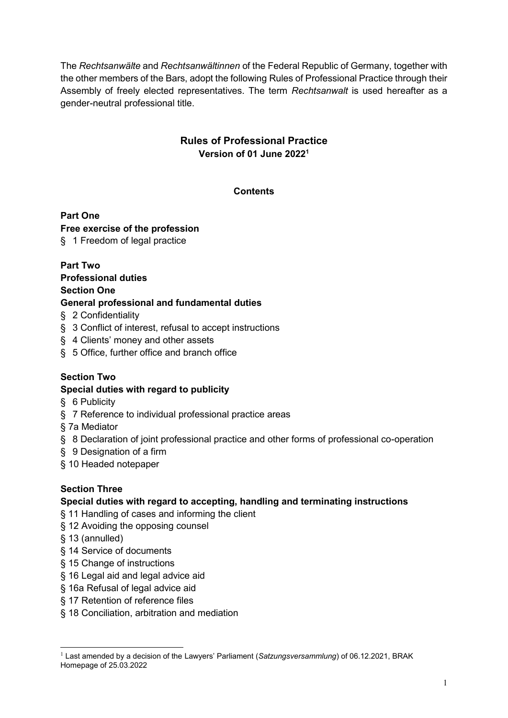The *Rechtsanwälte* and *Rechtsanwältinnen* of the Federal Republic of Germany, together with the other members of the Bars, adopt the following Rules of Professional Practice through their Assembly of freely elected representatives. The term *Rechtsanwalt* is used hereafter as a gender-neutral professional title.

# **Rules of Professional Practice Version of 01 June 2022<sup>1</sup>**

## **Contents**

## **Part One Free exercise of the profession**

§ 1 Freedom of legal practice

#### **Part Two Professional duties Section One**

## **General professional and fundamental duties**

- § 2 Confidentiality
- § 3 Conflict of interest, refusal to accept instructions
- § 4 Clients' money and other assets
- § 5 Office, further office and branch office

# **Section Two**

# **Special duties with regard to publicity**

- § 6 Publicity
- § 7 Reference to individual professional practice areas
- § 7a Mediator
- § 8 Declaration of joint professional practice and other forms of professional co-operation
- § 9 Designation of a firm
- § 10 Headed notepaper

# **Section Three**

## **Special duties with regard to accepting, handling and terminating instructions**

- § 11 Handling of cases and informing the client
- § 12 Avoiding the opposing counsel
- § 13 (annulled)

 $\overline{a}$ 

- § 14 Service of documents
- § 15 Change of instructions
- § 16 Legal aid and legal advice aid
- § 16a Refusal of legal advice aid
- § 17 Retention of reference files
- § 18 Conciliation, arbitration and mediation

<sup>1</sup> Last amended by a decision of the Lawyers' Parliament (*Satzungsversammlung*) of 06.12.2021, BRAK Homepage of 25.03.2022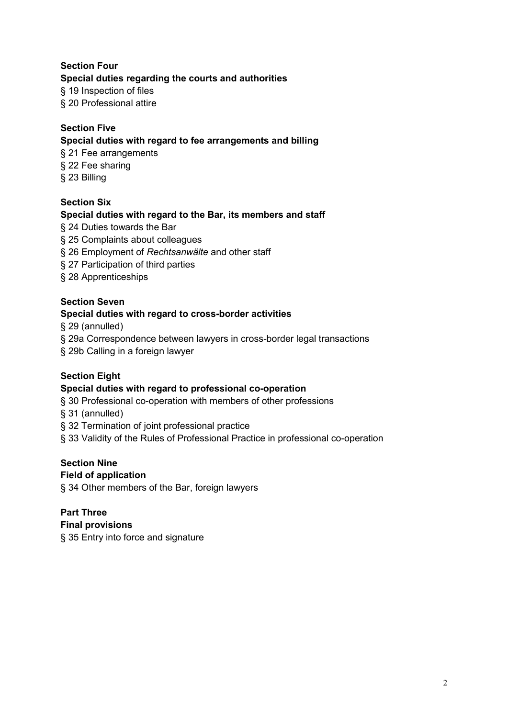# **Section Four**

#### **Special duties regarding the courts and authorities**

§ 19 Inspection of files

§ 20 Professional attire

## **Section Five**

#### **Special duties with regard to fee arrangements and billing**

§ 21 Fee arrangements

§ 22 Fee sharing

§ 23 Billing

#### **Section Six**

#### **Special duties with regard to the Bar, its members and staff**

- § 24 Duties towards the Bar
- § 25 Complaints about colleagues
- § 26 Employment of *Rechtsanwälte* and other staff
- § 27 Participation of third parties
- § 28 Apprenticeships

#### **Section Seven**

#### **Special duties with regard to cross-border activities**

§ 29 (annulled)

- § 29a Correspondence between lawyers in cross-border legal transactions
- § 29b Calling in a foreign lawyer

## **Section Eight**

#### **Special duties with regard to professional co-operation**

- § 30 Professional co-operation with members of other professions
- § 31 (annulled)
- § 32 Termination of joint professional practice

§ 33 Validity of the Rules of Professional Practice in professional co-operation

## **Section Nine**

#### **Field of application**

§ 34 Other members of the Bar, foreign lawyers

**Part Three Final provisions**

§ 35 Entry into force and signature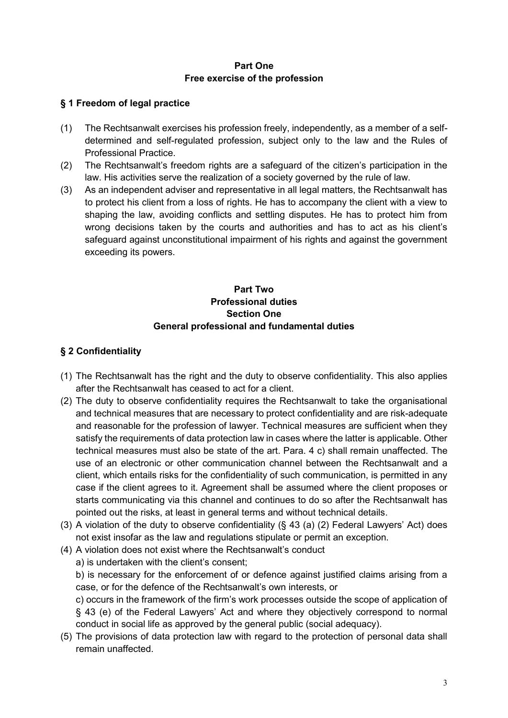## **Part One Free exercise of the profession**

## **§ 1 Freedom of legal practice**

- (1) The Rechtsanwalt exercises his profession freely, independently, as a member of a selfdetermined and self-regulated profession, subject only to the law and the Rules of Professional Practice.
- (2) The Rechtsanwalt's freedom rights are a safeguard of the citizen's participation in the law. His activities serve the realization of a society governed by the rule of law.
- (3) As an independent adviser and representative in all legal matters, the Rechtsanwalt has to protect his client from a loss of rights. He has to accompany the client with a view to shaping the law, avoiding conflicts and settling disputes. He has to protect him from wrong decisions taken by the courts and authorities and has to act as his client's safeguard against unconstitutional impairment of his rights and against the government exceeding its powers.

# **Part Two Professional duties Section One General professional and fundamental duties**

## **§ 2 Confidentiality**

- (1) The Rechtsanwalt has the right and the duty to observe confidentiality. This also applies after the Rechtsanwalt has ceased to act for a client.
- (2) The duty to observe confidentiality requires the Rechtsanwalt to take the organisational and technical measures that are necessary to protect confidentiality and are risk-adequate and reasonable for the profession of lawyer. Technical measures are sufficient when they satisfy the requirements of data protection law in cases where the latter is applicable. Other technical measures must also be state of the art. Para. 4 c) shall remain unaffected. The use of an electronic or other communication channel between the Rechtsanwalt and a client, which entails risks for the confidentiality of such communication, is permitted in any case if the client agrees to it. Agreement shall be assumed where the client proposes or starts communicating via this channel and continues to do so after the Rechtsanwalt has pointed out the risks, at least in general terms and without technical details.
- (3) A violation of the duty to observe confidentiality (§ 43 (a) (2) Federal Lawyers' Act) does not exist insofar as the law and regulations stipulate or permit an exception.
- (4) A violation does not exist where the Rechtsanwalt's conduct
	- a) is undertaken with the client's consent;

b) is necessary for the enforcement of or defence against justified claims arising from a case, or for the defence of the Rechtsanwalt's own interests, or

c) occurs in the framework of the firm's work processes outside the scope of application of § 43 (e) of the Federal Lawyers' Act and where they objectively correspond to normal conduct in social life as approved by the general public (social adequacy).

(5) The provisions of data protection law with regard to the protection of personal data shall remain unaffected.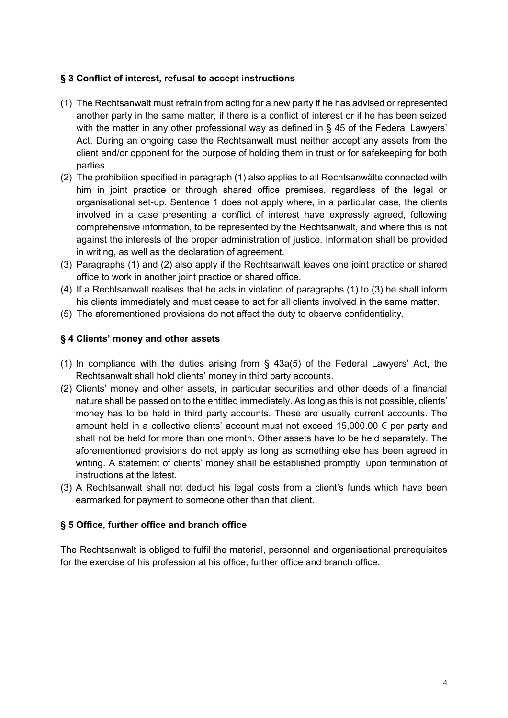#### **§ 3 Conflict of interest, refusal to accept instructions**

- (1) The Rechtsanwalt must refrain from acting for a new party if he has advised or represented another party in the same matter, if there is a conflict of interest or if he has been seized with the matter in any other professional way as defined in § 45 of the Federal Lawyers' Act. During an ongoing case the Rechtsanwalt must neither accept any assets from the client and/or opponent for the purpose of holding them in trust or for safekeeping for both parties.
- (2) The prohibition specified in paragraph (1) also applies to all Rechtsanwälte connected with him in joint practice or through shared office premises, regardless of the legal or organisational set-up. Sentence 1 does not apply where, in a particular case, the clients involved in a case presenting a conflict of interest have expressly agreed, following comprehensive information, to be represented by the Rechtsanwalt, and where this is not against the interests of the proper administration of justice. Information shall be provided in writing, as well as the declaration of agreement.
- (3) Paragraphs (1) and (2) also apply if the Rechtsanwalt leaves one joint practice or shared office to work in another joint practice or shared office.
- (4) If a Rechtsanwalt realises that he acts in violation of paragraphs (1) to (3) he shall inform his clients immediately and must cease to act for all clients involved in the same matter.
- (5) The aforementioned provisions do not affect the duty to observe confidentiality.

## **§ 4 Clients' money and other assets**

- (1) In compliance with the duties arising from § 43a(5) of the Federal Lawyers' Act, the Rechtsanwalt shall hold clients' money in third party accounts.
- (2) Clients' money and other assets, in particular securities and other deeds of a financial nature shall be passed on to the entitled immediately. As long as this is not possible, clients' money has to be held in third party accounts. These are usually current accounts. The amount held in a collective clients' account must not exceed 15,000.00 € per party and shall not be held for more than one month. Other assets have to be held separately. The aforementioned provisions do not apply as long as something else has been agreed in writing. A statement of clients' money shall be established promptly, upon termination of instructions at the latest.
- (3) A Rechtsanwalt shall not deduct his legal costs from a client's funds which have been earmarked for payment to someone other than that client.

#### **§ 5 Office, further office and branch office**

The Rechtsanwalt is obliged to fulfil the material, personnel and organisational prerequisites for the exercise of his profession at his office, further office and branch office.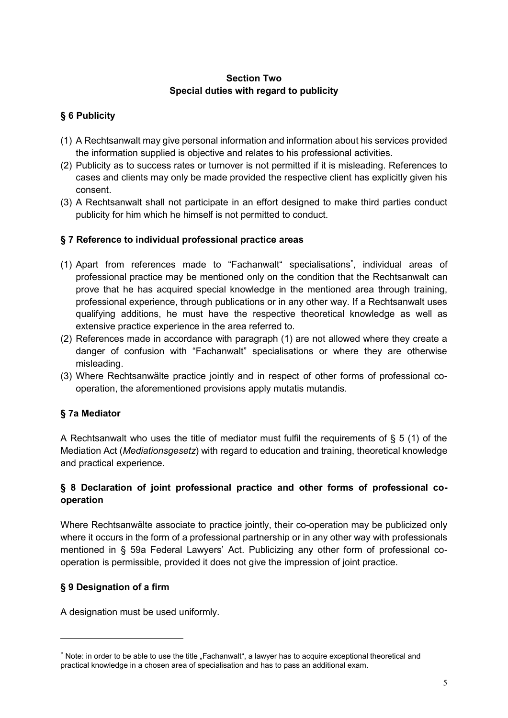#### **Section Two Special duties with regard to publicity**

## **§ 6 Publicity**

- (1) A Rechtsanwalt may give personal information and information about his services provided the information supplied is objective and relates to his professional activities.
- (2) Publicity as to success rates or turnover is not permitted if it is misleading. References to cases and clients may only be made provided the respective client has explicitly given his consent.
- (3) A Rechtsanwalt shall not participate in an effort designed to make third parties conduct publicity for him which he himself is not permitted to conduct.

## **§ 7 Reference to individual professional practice areas**

- (1) Apart from references made to "Fachanwalt" specialisations**\*** , individual areas of professional practice may be mentioned only on the condition that the Rechtsanwalt can prove that he has acquired special knowledge in the mentioned area through training, professional experience, through publications or in any other way. If a Rechtsanwalt uses qualifying additions, he must have the respective theoretical knowledge as well as extensive practice experience in the area referred to.
- (2) References made in accordance with paragraph (1) are not allowed where they create a danger of confusion with "Fachanwalt" specialisations or where they are otherwise misleading.
- (3) Where Rechtsanwälte practice jointly and in respect of other forms of professional cooperation, the aforementioned provisions apply mutatis mutandis.

# **§ 7a Mediator**

A Rechtsanwalt who uses the title of mediator must fulfil the requirements of  $\S 5$  (1) of the Mediation Act (*Mediationsgesetz*) with regard to education and training, theoretical knowledge and practical experience.

## **§ 8 Declaration of joint professional practice and other forms of professional cooperation**

Where Rechtsanwälte associate to practice jointly, their co-operation may be publicized only where it occurs in the form of a professional partnership or in any other way with professionals mentioned in § 59a Federal Lawyers' Act. Publicizing any other form of professional cooperation is permissible, provided it does not give the impression of joint practice.

# **§ 9 Designation of a firm**

 $\overline{a}$ 

A designation must be used uniformly.

<sup>\*</sup> Note: in order to be able to use the title "Fachanwalt", a lawyer has to acquire exceptional theoretical and practical knowledge in a chosen area of specialisation and has to pass an additional exam.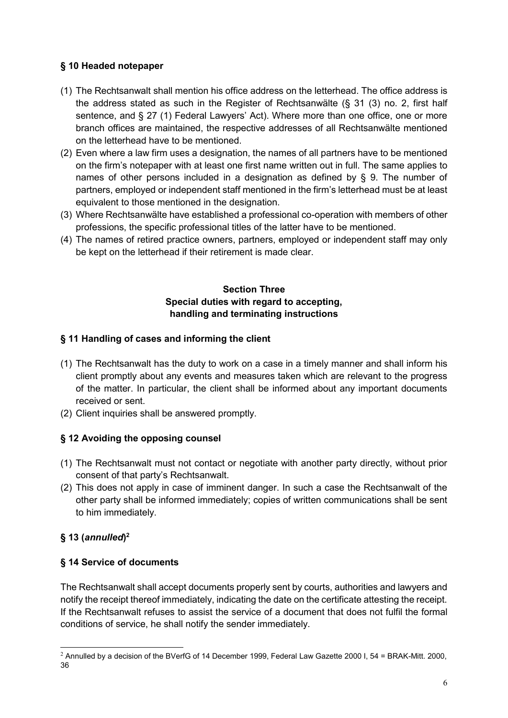# **§ 10 Headed notepaper**

- (1) The Rechtsanwalt shall mention his office address on the letterhead. The office address is the address stated as such in the Register of Rechtsanwälte (§ 31 (3) no. 2, first half sentence, and § 27 (1) Federal Lawyers' Act). Where more than one office, one or more branch offices are maintained, the respective addresses of all Rechtsanwälte mentioned on the letterhead have to be mentioned.
- (2) Even where a law firm uses a designation, the names of all partners have to be mentioned on the firm's notepaper with at least one first name written out in full. The same applies to names of other persons included in a designation as defined by § 9. The number of partners, employed or independent staff mentioned in the firm's letterhead must be at least equivalent to those mentioned in the designation.
- (3) Where Rechtsanwälte have established a professional co-operation with members of other professions, the specific professional titles of the latter have to be mentioned.
- (4) The names of retired practice owners, partners, employed or independent staff may only be kept on the letterhead if their retirement is made clear.

## **Section Three Special duties with regard to accepting, handling and terminating instructions**

## **§ 11 Handling of cases and informing the client**

- (1) The Rechtsanwalt has the duty to work on a case in a timely manner and shall inform his client promptly about any events and measures taken which are relevant to the progress of the matter. In particular, the client shall be informed about any important documents received or sent.
- (2) Client inquiries shall be answered promptly.

# **§ 12 Avoiding the opposing counsel**

- (1) The Rechtsanwalt must not contact or negotiate with another party directly, without prior consent of that party's Rechtsanwalt.
- (2) This does not apply in case of imminent danger. In such a case the Rechtsanwalt of the other party shall be informed immediately; copies of written communications shall be sent to him immediately.

# **§ 13 (***annulled***) 2**

 $\overline{a}$ 

## **§ 14 Service of documents**

The Rechtsanwalt shall accept documents properly sent by courts, authorities and lawyers and notify the receipt thereof immediately, indicating the date on the certificate attesting the receipt. If the Rechtsanwalt refuses to assist the service of a document that does not fulfil the formal conditions of service, he shall notify the sender immediately.

 $^2$  Annulled by a decision of the BVerfG of 14 December 1999, Federal Law Gazette 2000 I, 54 = BRAK-Mitt. 2000, 36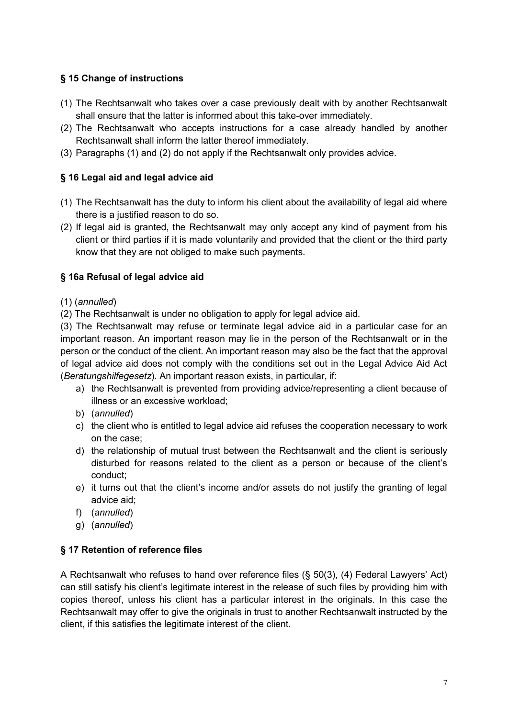# **§ 15 Change of instructions**

- (1) The Rechtsanwalt who takes over a case previously dealt with by another Rechtsanwalt shall ensure that the latter is informed about this take-over immediately.
- (2) The Rechtsanwalt who accepts instructions for a case already handled by another Rechtsanwalt shall inform the latter thereof immediately.
- (3) Paragraphs (1) and (2) do not apply if the Rechtsanwalt only provides advice.

# **§ 16 Legal aid and legal advice aid**

- (1) The Rechtsanwalt has the duty to inform his client about the availability of legal aid where there is a justified reason to do so.
- (2) If legal aid is granted, the Rechtsanwalt may only accept any kind of payment from his client or third parties if it is made voluntarily and provided that the client or the third party know that they are not obliged to make such payments.

## **§ 16a Refusal of legal advice aid**

#### (1) (*annulled*)

(2) The Rechtsanwalt is under no obligation to apply for legal advice aid.

(3) The Rechtsanwalt may refuse or terminate legal advice aid in a particular case for an important reason. An important reason may lie in the person of the Rechtsanwalt or in the person or the conduct of the client. An important reason may also be the fact that the approval of legal advice aid does not comply with the conditions set out in the Legal Advice Aid Act (*Beratungshilfegesetz*). An important reason exists, in particular, if:

- a) the Rechtsanwalt is prevented from providing advice/representing a client because of illness or an excessive workload;
- b) (*annulled*)
- c) the client who is entitled to legal advice aid refuses the cooperation necessary to work on the case;
- d) the relationship of mutual trust between the Rechtsanwalt and the client is seriously disturbed for reasons related to the client as a person or because of the client's conduct;
- e) it turns out that the client's income and/or assets do not justify the granting of legal advice aid;
- f) (*annulled*)
- g) (*annulled*)

# **§ 17 Retention of reference files**

A Rechtsanwalt who refuses to hand over reference files (§ 50(3), (4) Federal Lawyers' Act) can still satisfy his client's legitimate interest in the release of such files by providing him with copies thereof, unless his client has a particular interest in the originals. In this case the Rechtsanwalt may offer to give the originals in trust to another Rechtsanwalt instructed by the client, if this satisfies the legitimate interest of the client.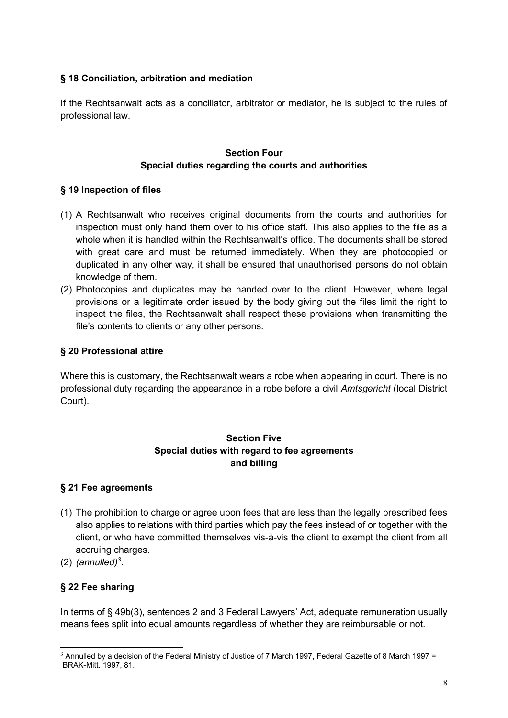### **§ 18 Conciliation, arbitration and mediation**

If the Rechtsanwalt acts as a conciliator, arbitrator or mediator, he is subject to the rules of professional law.

## **Section Four Special duties regarding the courts and authorities**

#### **§ 19 Inspection of files**

- (1) A Rechtsanwalt who receives original documents from the courts and authorities for inspection must only hand them over to his office staff. This also applies to the file as a whole when it is handled within the Rechtsanwalt's office. The documents shall be stored with great care and must be returned immediately. When they are photocopied or duplicated in any other way, it shall be ensured that unauthorised persons do not obtain knowledge of them.
- (2) Photocopies and duplicates may be handed over to the client. However, where legal provisions or a legitimate order issued by the body giving out the files limit the right to inspect the files, the Rechtsanwalt shall respect these provisions when transmitting the file's contents to clients or any other persons.

#### **§ 20 Professional attire**

Where this is customary, the Rechtsanwalt wears a robe when appearing in court. There is no professional duty regarding the appearance in a robe before a civil *Amtsgericht* (local District Court).

# **Section Five Special duties with regard to fee agreements and billing**

## **§ 21 Fee agreements**

- (1) The prohibition to charge or agree upon fees that are less than the legally prescribed fees also applies to relations with third parties which pay the fees instead of or together with the client, or who have committed themselves vis-à-vis the client to exempt the client from all accruing charges.
- $(2)$  (annulled)<sup>3</sup>.

 $\overline{a}$ 

## **§ 22 Fee sharing**

In terms of § 49b(3), sentences 2 and 3 Federal Lawyers' Act, adequate remuneration usually means fees split into equal amounts regardless of whether they are reimbursable or not.

 $3$  Annulled by a decision of the Federal Ministry of Justice of 7 March 1997, Federal Gazette of 8 March 1997 = BRAK-Mitt. 1997, 81.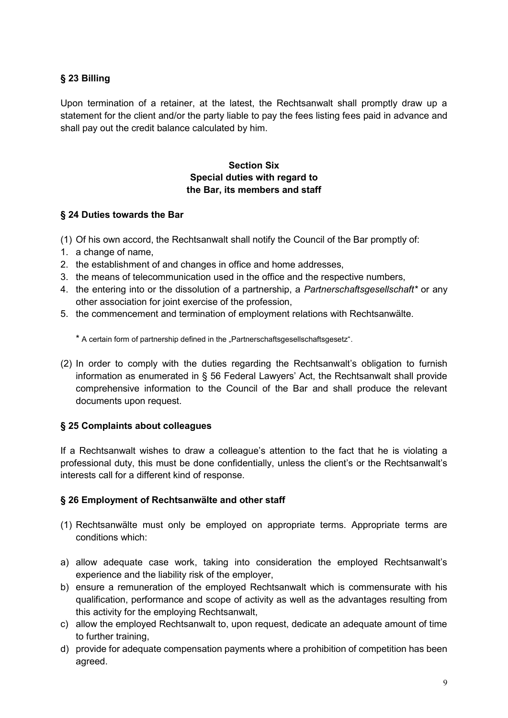# **§ 23 Billing**

Upon termination of a retainer, at the latest, the Rechtsanwalt shall promptly draw up a statement for the client and/or the party liable to pay the fees listing fees paid in advance and shall pay out the credit balance calculated by him.

## **Section Six Special duties with regard to the Bar, its members and staff**

#### **§ 24 Duties towards the Bar**

(1) Of his own accord, the Rechtsanwalt shall notify the Council of the Bar promptly of:

- 1. a change of name,
- 2. the establishment of and changes in office and home addresses,
- 3. the means of telecommunication used in the office and the respective numbers,
- 4. the entering into or the dissolution of a partnership, a *Partnerschaftsgesellschaft\** or any other association for joint exercise of the profession,
- 5. the commencement and termination of employment relations with Rechtsanwälte.

\* A certain form of partnership defined in the "Partnerschaftsgesellschaftsgesetz".

(2) In order to comply with the duties regarding the Rechtsanwalt's obligation to furnish information as enumerated in § 56 Federal Lawyers' Act, the Rechtsanwalt shall provide comprehensive information to the Council of the Bar and shall produce the relevant documents upon request.

## **§ 25 Complaints about colleagues**

If a Rechtsanwalt wishes to draw a colleague's attention to the fact that he is violating a professional duty, this must be done confidentially, unless the client's or the Rechtsanwalt's interests call for a different kind of response.

#### **§ 26 Employment of Rechtsanwälte and other staff**

- (1) Rechtsanwälte must only be employed on appropriate terms. Appropriate terms are conditions which:
- a) allow adequate case work, taking into consideration the employed Rechtsanwalt's experience and the liability risk of the employer,
- b) ensure a remuneration of the employed Rechtsanwalt which is commensurate with his qualification, performance and scope of activity as well as the advantages resulting from this activity for the employing Rechtsanwalt,
- c) allow the employed Rechtsanwalt to, upon request, dedicate an adequate amount of time to further training,
- d) provide for adequate compensation payments where a prohibition of competition has been agreed.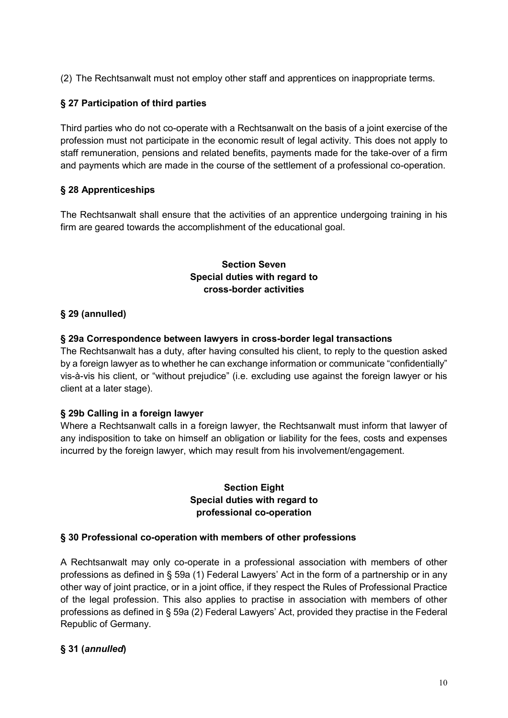(2) The Rechtsanwalt must not employ other staff and apprentices on inappropriate terms.

# **§ 27 Participation of third parties**

Third parties who do not co-operate with a Rechtsanwalt on the basis of a joint exercise of the profession must not participate in the economic result of legal activity. This does not apply to staff remuneration, pensions and related benefits, payments made for the take-over of a firm and payments which are made in the course of the settlement of a professional co-operation.

## **§ 28 Apprenticeships**

The Rechtsanwalt shall ensure that the activities of an apprentice undergoing training in his firm are geared towards the accomplishment of the educational goal.

### **Section Seven Special duties with regard to cross-border activities**

## **§ 29 (annulled)**

## **§ 29a Correspondence between lawyers in cross-border legal transactions**

The Rechtsanwalt has a duty, after having consulted his client, to reply to the question asked by a foreign lawyer as to whether he can exchange information or communicate "confidentially" vis-à-vis his client, or "without prejudice" (i.e. excluding use against the foreign lawyer or his client at a later stage).

## **§ 29b Calling in a foreign lawyer**

Where a Rechtsanwalt calls in a foreign lawyer, the Rechtsanwalt must inform that lawyer of any indisposition to take on himself an obligation or liability for the fees, costs and expenses incurred by the foreign lawyer, which may result from his involvement/engagement.

## **Section Eight Special duties with regard to professional co-operation**

## **§ 30 Professional co-operation with members of other professions**

A Rechtsanwalt may only co-operate in a professional association with members of other professions as defined in § 59a (1) Federal Lawyers' Act in the form of a partnership or in any other way of joint practice, or in a joint office, if they respect the Rules of Professional Practice of the legal profession. This also applies to practise in association with members of other professions as defined in § 59a (2) Federal Lawyers' Act, provided they practise in the Federal Republic of Germany.

## **§ 31 (***annulled***)**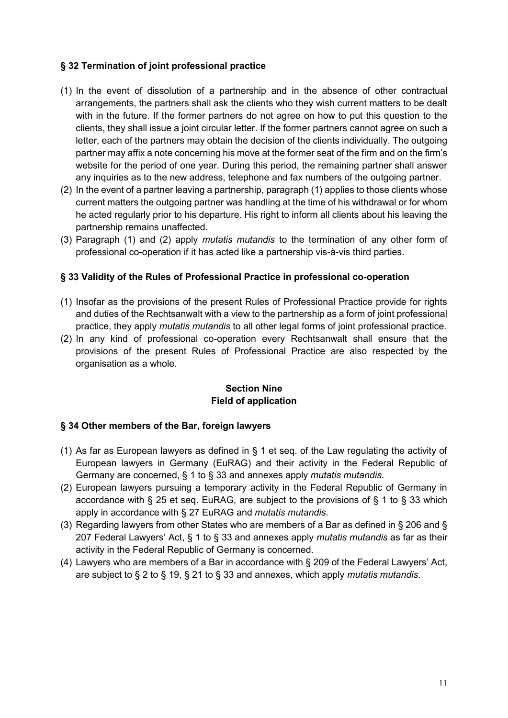## **§ 32 Termination of joint professional practice**

- (1) In the event of dissolution of a partnership and in the absence of other contractual arrangements, the partners shall ask the clients who they wish current matters to be dealt with in the future. If the former partners do not agree on how to put this question to the clients, they shall issue a joint circular letter. If the former partners cannot agree on such a letter, each of the partners may obtain the decision of the clients individually. The outgoing partner may affix a note concerning his move at the former seat of the firm and on the firm's website for the period of one year. During this period, the remaining partner shall answer any inquiries as to the new address, telephone and fax numbers of the outgoing partner.
- (2) In the event of a partner leaving a partnership, paragraph (1) applies to those clients whose current matters the outgoing partner was handling at the time of his withdrawal or for whom he acted regularly prior to his departure. His right to inform all clients about his leaving the partnership remains unaffected.
- (3) Paragraph (1) and (2) apply *mutatis mutandis* to the termination of any other form of professional co-operation if it has acted like a partnership vis-à-vis third parties.

## **§ 33 Validity of the Rules of Professional Practice in professional co-operation**

- (1) Insofar as the provisions of the present Rules of Professional Practice provide for rights and duties of the Rechtsanwalt with a view to the partnership as a form of joint professional practice, they apply *mutatis mutandis* to all other legal forms of joint professional practice.
- (2) In any kind of professional co-operation every Rechtsanwalt shall ensure that the provisions of the present Rules of Professional Practice are also respected by the organisation as a whole.

## **Section Nine Field of application**

## **§ 34 Other members of the Bar, foreign lawyers**

- (1) As far as European lawyers as defined in § 1 et seq. of the Law regulating the activity of European lawyers in Germany (EuRAG) and their activity in the Federal Republic of Germany are concerned, § 1 to § 33 and annexes apply *mutatis mutandis*.
- (2) European lawyers pursuing a temporary activity in the Federal Republic of Germany in accordance with § 25 et seq. EuRAG, are subject to the provisions of § 1 to § 33 which apply in accordance with § 27 EuRAG and *mutatis mutandis*.
- (3) Regarding lawyers from other States who are members of a Bar as defined in § 206 and § 207 Federal Lawyers' Act, § 1 to § 33 and annexes apply *mutatis mutandis* as far as their activity in the Federal Republic of Germany is concerned.
- (4) Lawyers who are members of a Bar in accordance with § 209 of the Federal Lawyers' Act, are subject to § 2 to § 19, § 21 to § 33 and annexes, which apply *mutatis mutandis*.